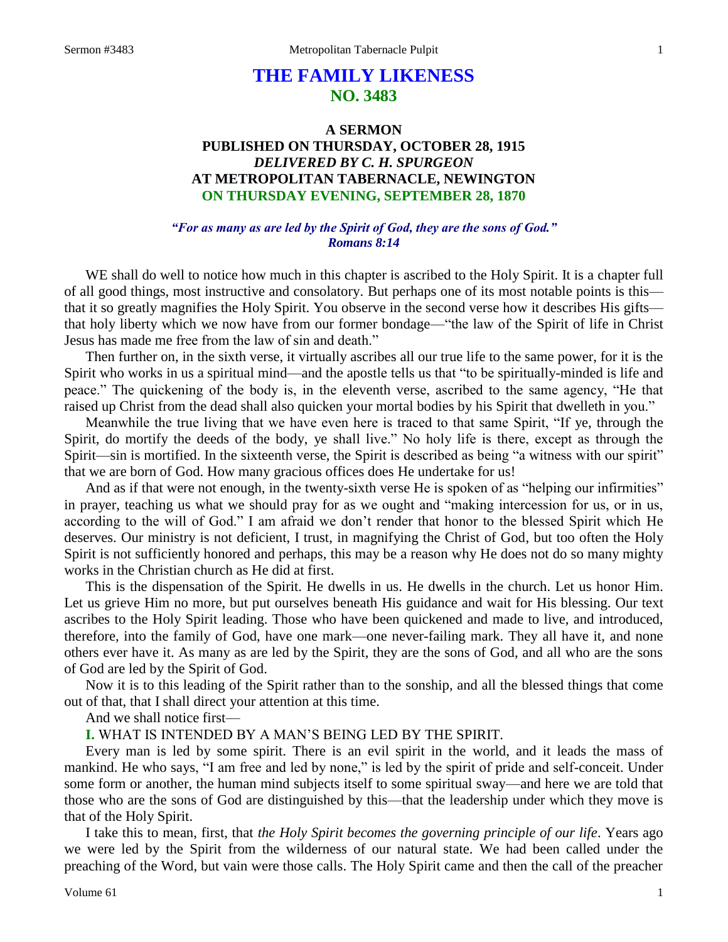# **THE FAMILY LIKENESS NO. 3483**

# **A SERMON PUBLISHED ON THURSDAY, OCTOBER 28, 1915** *DELIVERED BY C. H. SPURGEON* **AT METROPOLITAN TABERNACLE, NEWINGTON ON THURSDAY EVENING, SEPTEMBER 28, 1870**

### *"For as many as are led by the Spirit of God, they are the sons of God." Romans 8:14*

WE shall do well to notice how much in this chapter is ascribed to the Holy Spirit. It is a chapter full of all good things, most instructive and consolatory. But perhaps one of its most notable points is this that it so greatly magnifies the Holy Spirit. You observe in the second verse how it describes His gifts that holy liberty which we now have from our former bondage—"the law of the Spirit of life in Christ Jesus has made me free from the law of sin and death."

Then further on, in the sixth verse, it virtually ascribes all our true life to the same power, for it is the Spirit who works in us a spiritual mind—and the apostle tells us that "to be spiritually-minded is life and peace." The quickening of the body is, in the eleventh verse, ascribed to the same agency, "He that raised up Christ from the dead shall also quicken your mortal bodies by his Spirit that dwelleth in you."

Meanwhile the true living that we have even here is traced to that same Spirit, "If ye, through the Spirit, do mortify the deeds of the body, ye shall live." No holy life is there, except as through the Spirit—sin is mortified. In the sixteenth verse, the Spirit is described as being "a witness with our spirit" that we are born of God. How many gracious offices does He undertake for us!

And as if that were not enough, in the twenty-sixth verse He is spoken of as "helping our infirmities" in prayer, teaching us what we should pray for as we ought and "making intercession for us, or in us, according to the will of God." I am afraid we don't render that honor to the blessed Spirit which He deserves. Our ministry is not deficient, I trust, in magnifying the Christ of God, but too often the Holy Spirit is not sufficiently honored and perhaps, this may be a reason why He does not do so many mighty works in the Christian church as He did at first.

This is the dispensation of the Spirit. He dwells in us. He dwells in the church. Let us honor Him. Let us grieve Him no more, but put ourselves beneath His guidance and wait for His blessing. Our text ascribes to the Holy Spirit leading. Those who have been quickened and made to live, and introduced, therefore, into the family of God, have one mark—one never-failing mark. They all have it, and none others ever have it. As many as are led by the Spirit, they are the sons of God, and all who are the sons of God are led by the Spirit of God.

Now it is to this leading of the Spirit rather than to the sonship, and all the blessed things that come out of that, that I shall direct your attention at this time.

And we shall notice first—

**I.** WHAT IS INTENDED BY A MAN'S BEING LED BY THE SPIRIT.

Every man is led by some spirit. There is an evil spirit in the world, and it leads the mass of mankind. He who says, "I am free and led by none," is led by the spirit of pride and self-conceit. Under some form or another, the human mind subjects itself to some spiritual sway—and here we are told that those who are the sons of God are distinguished by this—that the leadership under which they move is that of the Holy Spirit.

I take this to mean, first, that *the Holy Spirit becomes the governing principle of our life*. Years ago we were led by the Spirit from the wilderness of our natural state. We had been called under the preaching of the Word, but vain were those calls. The Holy Spirit came and then the call of the preacher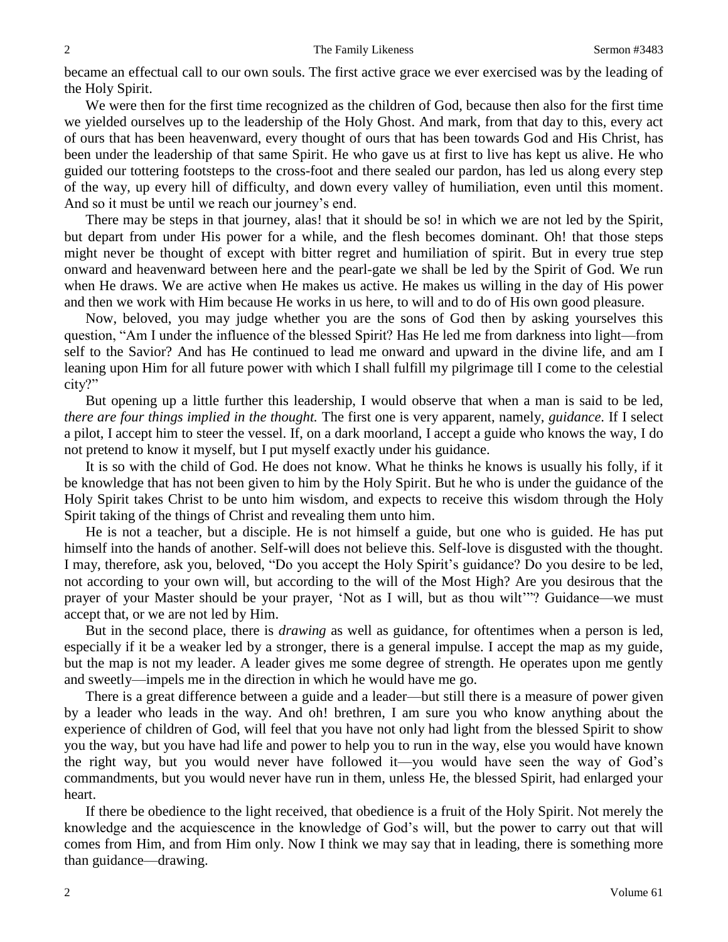became an effectual call to our own souls. The first active grace we ever exercised was by the leading of the Holy Spirit.

We were then for the first time recognized as the children of God, because then also for the first time we yielded ourselves up to the leadership of the Holy Ghost. And mark, from that day to this, every act of ours that has been heavenward, every thought of ours that has been towards God and His Christ, has been under the leadership of that same Spirit. He who gave us at first to live has kept us alive. He who guided our tottering footsteps to the cross-foot and there sealed our pardon, has led us along every step of the way, up every hill of difficulty, and down every valley of humiliation, even until this moment. And so it must be until we reach our journey's end.

There may be steps in that journey, alas! that it should be so! in which we are not led by the Spirit, but depart from under His power for a while, and the flesh becomes dominant. Oh! that those steps might never be thought of except with bitter regret and humiliation of spirit. But in every true step onward and heavenward between here and the pearl-gate we shall be led by the Spirit of God. We run when He draws. We are active when He makes us active. He makes us willing in the day of His power and then we work with Him because He works in us here, to will and to do of His own good pleasure.

Now, beloved, you may judge whether you are the sons of God then by asking yourselves this question, "Am I under the influence of the blessed Spirit? Has He led me from darkness into light—from self to the Savior? And has He continued to lead me onward and upward in the divine life, and am I leaning upon Him for all future power with which I shall fulfill my pilgrimage till I come to the celestial city?"

But opening up a little further this leadership, I would observe that when a man is said to be led, *there are four things implied in the thought.* The first one is very apparent, namely, *guidance*. If I select a pilot, I accept him to steer the vessel. If, on a dark moorland, I accept a guide who knows the way, I do not pretend to know it myself, but I put myself exactly under his guidance.

It is so with the child of God. He does not know. What he thinks he knows is usually his folly, if it be knowledge that has not been given to him by the Holy Spirit. But he who is under the guidance of the Holy Spirit takes Christ to be unto him wisdom, and expects to receive this wisdom through the Holy Spirit taking of the things of Christ and revealing them unto him.

He is not a teacher, but a disciple. He is not himself a guide, but one who is guided. He has put himself into the hands of another. Self-will does not believe this. Self-love is disgusted with the thought. I may, therefore, ask you, beloved, "Do you accept the Holy Spirit's guidance? Do you desire to be led, not according to your own will, but according to the will of the Most High? Are you desirous that the prayer of your Master should be your prayer, 'Not as I will, but as thou wilt'"? Guidance—we must accept that, or we are not led by Him.

But in the second place, there is *drawing* as well as guidance, for oftentimes when a person is led, especially if it be a weaker led by a stronger, there is a general impulse. I accept the map as my guide, but the map is not my leader. A leader gives me some degree of strength. He operates upon me gently and sweetly—impels me in the direction in which he would have me go.

There is a great difference between a guide and a leader—but still there is a measure of power given by a leader who leads in the way. And oh! brethren, I am sure you who know anything about the experience of children of God, will feel that you have not only had light from the blessed Spirit to show you the way, but you have had life and power to help you to run in the way, else you would have known the right way, but you would never have followed it—you would have seen the way of God's commandments, but you would never have run in them, unless He, the blessed Spirit, had enlarged your heart.

If there be obedience to the light received, that obedience is a fruit of the Holy Spirit. Not merely the knowledge and the acquiescence in the knowledge of God's will, but the power to carry out that will comes from Him, and from Him only. Now I think we may say that in leading, there is something more than guidance—drawing.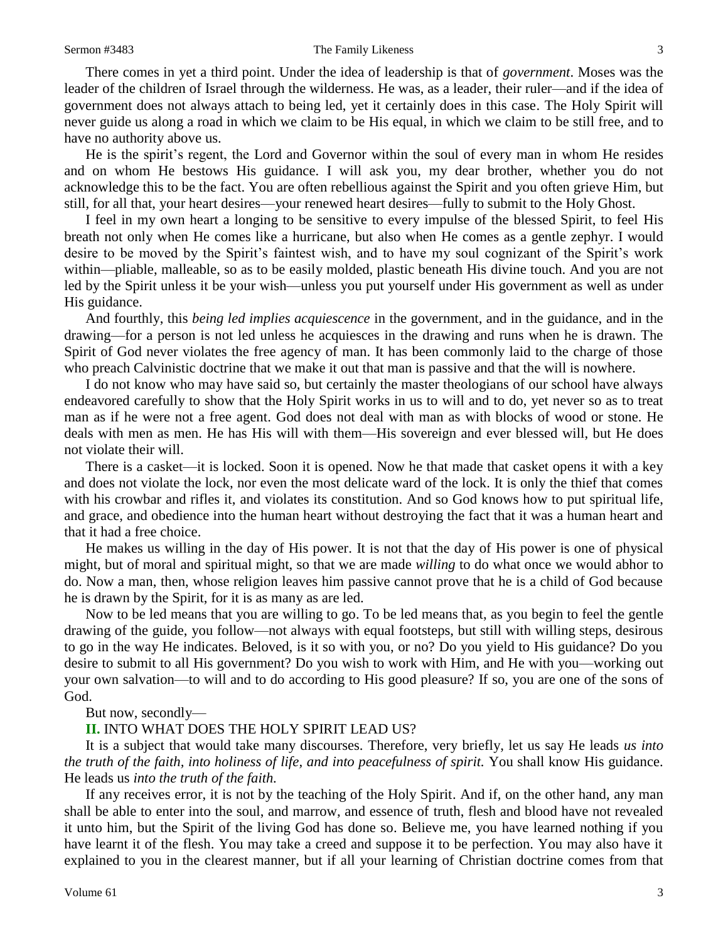There comes in yet a third point. Under the idea of leadership is that of *government*. Moses was the leader of the children of Israel through the wilderness. He was, as a leader, their ruler—and if the idea of government does not always attach to being led, yet it certainly does in this case. The Holy Spirit will never guide us along a road in which we claim to be His equal, in which we claim to be still free, and to have no authority above us.

He is the spirit's regent, the Lord and Governor within the soul of every man in whom He resides and on whom He bestows His guidance. I will ask you, my dear brother, whether you do not acknowledge this to be the fact. You are often rebellious against the Spirit and you often grieve Him, but still, for all that, your heart desires—your renewed heart desires—fully to submit to the Holy Ghost.

I feel in my own heart a longing to be sensitive to every impulse of the blessed Spirit, to feel His breath not only when He comes like a hurricane, but also when He comes as a gentle zephyr. I would desire to be moved by the Spirit's faintest wish, and to have my soul cognizant of the Spirit's work within—pliable, malleable, so as to be easily molded, plastic beneath His divine touch. And you are not led by the Spirit unless it be your wish—unless you put yourself under His government as well as under His guidance.

And fourthly, this *being led implies acquiescence* in the government, and in the guidance, and in the drawing—for a person is not led unless he acquiesces in the drawing and runs when he is drawn. The Spirit of God never violates the free agency of man. It has been commonly laid to the charge of those who preach Calvinistic doctrine that we make it out that man is passive and that the will is nowhere.

I do not know who may have said so, but certainly the master theologians of our school have always endeavored carefully to show that the Holy Spirit works in us to will and to do, yet never so as to treat man as if he were not a free agent. God does not deal with man as with blocks of wood or stone. He deals with men as men. He has His will with them—His sovereign and ever blessed will, but He does not violate their will.

There is a casket—it is locked. Soon it is opened. Now he that made that casket opens it with a key and does not violate the lock, nor even the most delicate ward of the lock. It is only the thief that comes with his crowbar and rifles it, and violates its constitution. And so God knows how to put spiritual life, and grace, and obedience into the human heart without destroying the fact that it was a human heart and that it had a free choice.

He makes us willing in the day of His power. It is not that the day of His power is one of physical might, but of moral and spiritual might, so that we are made *willing* to do what once we would abhor to do. Now a man, then, whose religion leaves him passive cannot prove that he is a child of God because he is drawn by the Spirit, for it is as many as are led.

Now to be led means that you are willing to go. To be led means that, as you begin to feel the gentle drawing of the guide, you follow—not always with equal footsteps, but still with willing steps, desirous to go in the way He indicates. Beloved, is it so with you, or no? Do you yield to His guidance? Do you desire to submit to all His government? Do you wish to work with Him, and He with you—working out your own salvation—to will and to do according to His good pleasure? If so, you are one of the sons of God.

## But now, secondly—

# **II.** INTO WHAT DOES THE HOLY SPIRIT LEAD US?

It is a subject that would take many discourses. Therefore, very briefly, let us say He leads *us into the truth of the faith, into holiness of life, and into peacefulness of spirit.* You shall know His guidance. He leads us *into the truth of the faith.*

If any receives error, it is not by the teaching of the Holy Spirit. And if, on the other hand, any man shall be able to enter into the soul, and marrow, and essence of truth, flesh and blood have not revealed it unto him, but the Spirit of the living God has done so. Believe me, you have learned nothing if you have learnt it of the flesh. You may take a creed and suppose it to be perfection. You may also have it explained to you in the clearest manner, but if all your learning of Christian doctrine comes from that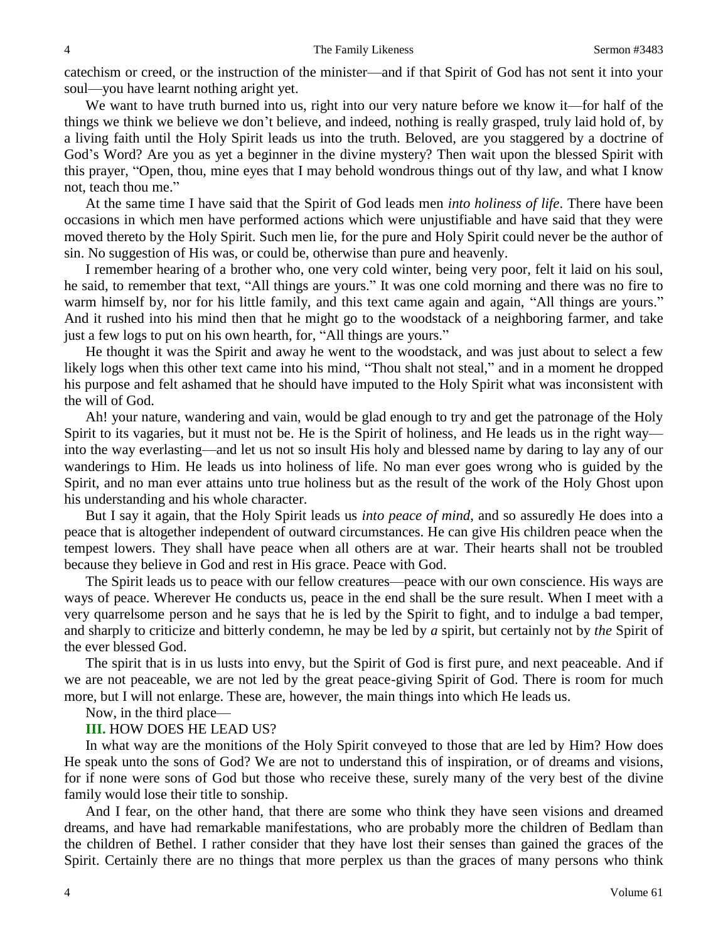catechism or creed, or the instruction of the minister—and if that Spirit of God has not sent it into your soul—you have learnt nothing aright yet.

We want to have truth burned into us, right into our very nature before we know it—for half of the things we think we believe we don't believe, and indeed, nothing is really grasped, truly laid hold of, by a living faith until the Holy Spirit leads us into the truth. Beloved, are you staggered by a doctrine of God's Word? Are you as yet a beginner in the divine mystery? Then wait upon the blessed Spirit with this prayer, "Open, thou, mine eyes that I may behold wondrous things out of thy law, and what I know not, teach thou me."

At the same time I have said that the Spirit of God leads men *into holiness of life*. There have been occasions in which men have performed actions which were unjustifiable and have said that they were moved thereto by the Holy Spirit. Such men lie, for the pure and Holy Spirit could never be the author of sin. No suggestion of His was, or could be, otherwise than pure and heavenly.

I remember hearing of a brother who, one very cold winter, being very poor, felt it laid on his soul, he said, to remember that text, "All things are yours." It was one cold morning and there was no fire to warm himself by, nor for his little family, and this text came again and again, "All things are yours." And it rushed into his mind then that he might go to the woodstack of a neighboring farmer, and take just a few logs to put on his own hearth, for, "All things are yours."

He thought it was the Spirit and away he went to the woodstack, and was just about to select a few likely logs when this other text came into his mind, "Thou shalt not steal," and in a moment he dropped his purpose and felt ashamed that he should have imputed to the Holy Spirit what was inconsistent with the will of God.

Ah! your nature, wandering and vain, would be glad enough to try and get the patronage of the Holy Spirit to its vagaries, but it must not be. He is the Spirit of holiness, and He leads us in the right way into the way everlasting—and let us not so insult His holy and blessed name by daring to lay any of our wanderings to Him. He leads us into holiness of life. No man ever goes wrong who is guided by the Spirit, and no man ever attains unto true holiness but as the result of the work of the Holy Ghost upon his understanding and his whole character.

But I say it again, that the Holy Spirit leads us *into peace of mind*, and so assuredly He does into a peace that is altogether independent of outward circumstances. He can give His children peace when the tempest lowers. They shall have peace when all others are at war. Their hearts shall not be troubled because they believe in God and rest in His grace. Peace with God.

The Spirit leads us to peace with our fellow creatures—peace with our own conscience. His ways are ways of peace. Wherever He conducts us, peace in the end shall be the sure result. When I meet with a very quarrelsome person and he says that he is led by the Spirit to fight, and to indulge a bad temper, and sharply to criticize and bitterly condemn, he may be led by *a* spirit, but certainly not by *the* Spirit of the ever blessed God.

The spirit that is in us lusts into envy, but the Spirit of God is first pure, and next peaceable. And if we are not peaceable, we are not led by the great peace-giving Spirit of God. There is room for much more, but I will not enlarge. These are, however, the main things into which He leads us.

Now, in the third place—

### **III.** HOW DOES HE LEAD US?

In what way are the monitions of the Holy Spirit conveyed to those that are led by Him? How does He speak unto the sons of God? We are not to understand this of inspiration, or of dreams and visions, for if none were sons of God but those who receive these, surely many of the very best of the divine family would lose their title to sonship.

And I fear, on the other hand, that there are some who think they have seen visions and dreamed dreams, and have had remarkable manifestations, who are probably more the children of Bedlam than the children of Bethel. I rather consider that they have lost their senses than gained the graces of the Spirit. Certainly there are no things that more perplex us than the graces of many persons who think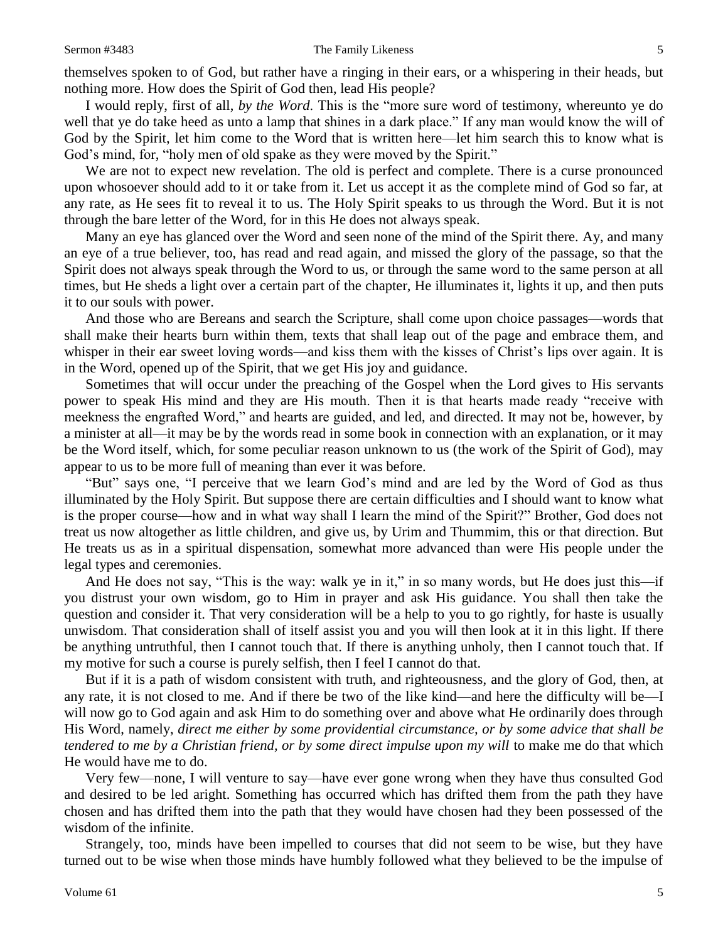themselves spoken to of God, but rather have a ringing in their ears, or a whispering in their heads, but nothing more. How does the Spirit of God then, lead His people?

I would reply, first of all, *by the Word*. This is the "more sure word of testimony, whereunto ye do well that ye do take heed as unto a lamp that shines in a dark place." If any man would know the will of God by the Spirit, let him come to the Word that is written here—let him search this to know what is God's mind, for, "holy men of old spake as they were moved by the Spirit."

We are not to expect new revelation. The old is perfect and complete. There is a curse pronounced upon whosoever should add to it or take from it. Let us accept it as the complete mind of God so far, at any rate, as He sees fit to reveal it to us. The Holy Spirit speaks to us through the Word. But it is not through the bare letter of the Word, for in this He does not always speak.

Many an eye has glanced over the Word and seen none of the mind of the Spirit there. Ay, and many an eye of a true believer, too, has read and read again, and missed the glory of the passage, so that the Spirit does not always speak through the Word to us, or through the same word to the same person at all times, but He sheds a light over a certain part of the chapter, He illuminates it, lights it up, and then puts it to our souls with power.

And those who are Bereans and search the Scripture, shall come upon choice passages—words that shall make their hearts burn within them, texts that shall leap out of the page and embrace them, and whisper in their ear sweet loving words—and kiss them with the kisses of Christ's lips over again. It is in the Word, opened up of the Spirit, that we get His joy and guidance.

Sometimes that will occur under the preaching of the Gospel when the Lord gives to His servants power to speak His mind and they are His mouth. Then it is that hearts made ready "receive with meekness the engrafted Word," and hearts are guided, and led, and directed. It may not be, however, by a minister at all—it may be by the words read in some book in connection with an explanation, or it may be the Word itself, which, for some peculiar reason unknown to us (the work of the Spirit of God), may appear to us to be more full of meaning than ever it was before.

"But" says one, "I perceive that we learn God's mind and are led by the Word of God as thus illuminated by the Holy Spirit. But suppose there are certain difficulties and I should want to know what is the proper course—how and in what way shall I learn the mind of the Spirit?" Brother, God does not treat us now altogether as little children, and give us, by Urim and Thummim, this or that direction. But He treats us as in a spiritual dispensation, somewhat more advanced than were His people under the legal types and ceremonies.

And He does not say, "This is the way: walk ye in it," in so many words, but He does just this—if you distrust your own wisdom, go to Him in prayer and ask His guidance. You shall then take the question and consider it. That very consideration will be a help to you to go rightly, for haste is usually unwisdom. That consideration shall of itself assist you and you will then look at it in this light. If there be anything untruthful, then I cannot touch that. If there is anything unholy, then I cannot touch that. If my motive for such a course is purely selfish, then I feel I cannot do that.

But if it is a path of wisdom consistent with truth, and righteousness, and the glory of God, then, at any rate, it is not closed to me. And if there be two of the like kind—and here the difficulty will be—I will now go to God again and ask Him to do something over and above what He ordinarily does through His Word, namely, *direct me either by some providential circumstance, or by some advice that shall be tendered to me by a Christian friend, or by some direct impulse upon my will to make me do that which* He would have me to do.

Very few—none, I will venture to say—have ever gone wrong when they have thus consulted God and desired to be led aright. Something has occurred which has drifted them from the path they have chosen and has drifted them into the path that they would have chosen had they been possessed of the wisdom of the infinite.

Strangely, too, minds have been impelled to courses that did not seem to be wise, but they have turned out to be wise when those minds have humbly followed what they believed to be the impulse of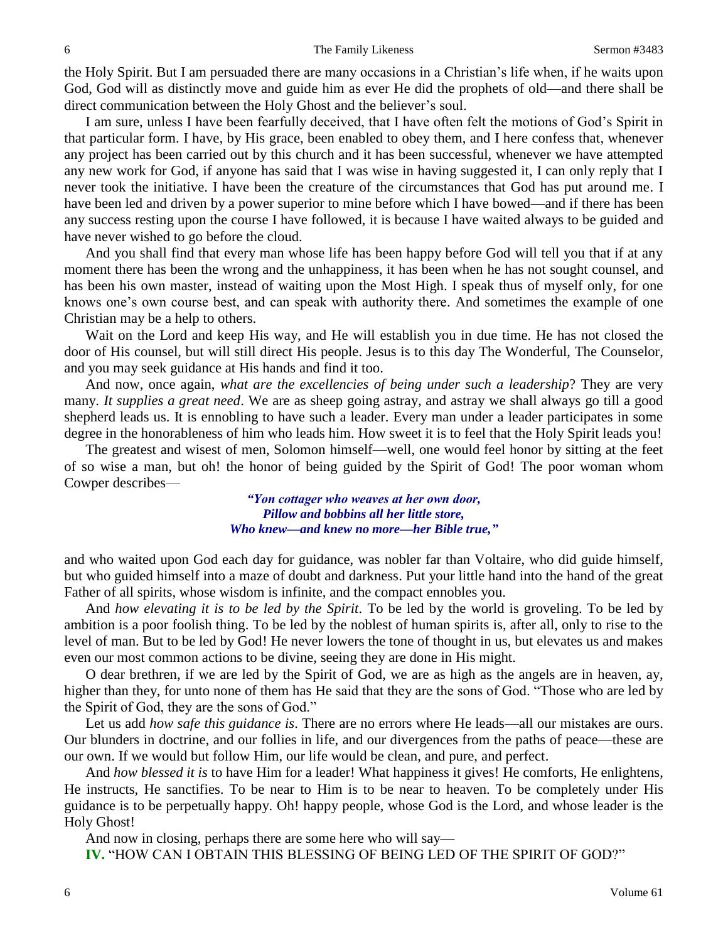the Holy Spirit. But I am persuaded there are many occasions in a Christian's life when, if he waits upon God, God will as distinctly move and guide him as ever He did the prophets of old—and there shall be direct communication between the Holy Ghost and the believer's soul.

I am sure, unless I have been fearfully deceived, that I have often felt the motions of God's Spirit in that particular form. I have, by His grace, been enabled to obey them, and I here confess that, whenever any project has been carried out by this church and it has been successful, whenever we have attempted any new work for God, if anyone has said that I was wise in having suggested it, I can only reply that I never took the initiative. I have been the creature of the circumstances that God has put around me. I have been led and driven by a power superior to mine before which I have bowed—and if there has been any success resting upon the course I have followed, it is because I have waited always to be guided and have never wished to go before the cloud.

And you shall find that every man whose life has been happy before God will tell you that if at any moment there has been the wrong and the unhappiness, it has been when he has not sought counsel, and has been his own master, instead of waiting upon the Most High. I speak thus of myself only, for one knows one's own course best, and can speak with authority there. And sometimes the example of one Christian may be a help to others.

Wait on the Lord and keep His way, and He will establish you in due time. He has not closed the door of His counsel, but will still direct His people. Jesus is to this day The Wonderful, The Counselor, and you may seek guidance at His hands and find it too.

And now, once again, *what are the excellencies of being under such a leadership*? They are very many. *It supplies a great need*. We are as sheep going astray, and astray we shall always go till a good shepherd leads us. It is ennobling to have such a leader. Every man under a leader participates in some degree in the honorableness of him who leads him. How sweet it is to feel that the Holy Spirit leads you!

The greatest and wisest of men, Solomon himself—well, one would feel honor by sitting at the feet of so wise a man, but oh! the honor of being guided by the Spirit of God! The poor woman whom Cowper describes—

> *"Yon cottager who weaves at her own door, Pillow and bobbins all her little store, Who knew—and knew no more—her Bible true,"*

and who waited upon God each day for guidance, was nobler far than Voltaire, who did guide himself, but who guided himself into a maze of doubt and darkness. Put your little hand into the hand of the great Father of all spirits, whose wisdom is infinite, and the compact ennobles you.

And *how elevating it is to be led by the Spirit*. To be led by the world is groveling. To be led by ambition is a poor foolish thing. To be led by the noblest of human spirits is, after all, only to rise to the level of man. But to be led by God! He never lowers the tone of thought in us, but elevates us and makes even our most common actions to be divine, seeing they are done in His might.

O dear brethren, if we are led by the Spirit of God, we are as high as the angels are in heaven, ay, higher than they, for unto none of them has He said that they are the sons of God. "Those who are led by the Spirit of God, they are the sons of God."

Let us add *how safe this guidance is*. There are no errors where He leads—all our mistakes are ours. Our blunders in doctrine, and our follies in life, and our divergences from the paths of peace—these are our own. If we would but follow Him, our life would be clean, and pure, and perfect.

And *how blessed it is* to have Him for a leader! What happiness it gives! He comforts, He enlightens, He instructs, He sanctifies. To be near to Him is to be near to heaven. To be completely under His guidance is to be perpetually happy. Oh! happy people, whose God is the Lord, and whose leader is the Holy Ghost!

And now in closing, perhaps there are some here who will say—

**IV.** "HOW CAN I OBTAIN THIS BLESSING OF BEING LED OF THE SPIRIT OF GOD?"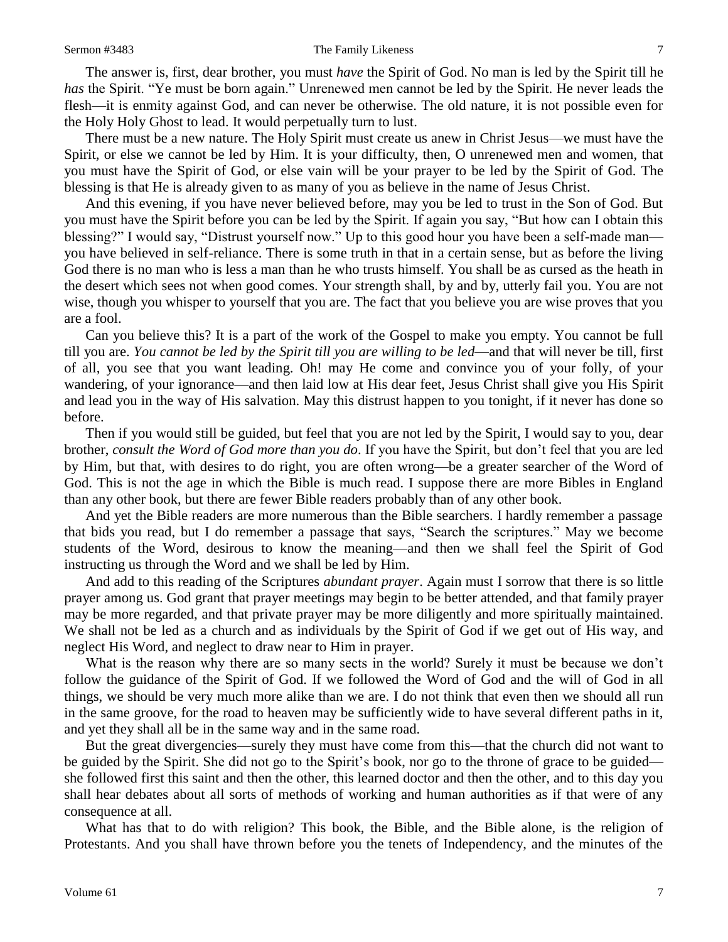#### Sermon #3483 The Family Likeness 7

The answer is, first, dear brother, you must *have* the Spirit of God. No man is led by the Spirit till he *has* the Spirit. "Ye must be born again." Unrenewed men cannot be led by the Spirit. He never leads the flesh—it is enmity against God, and can never be otherwise. The old nature, it is not possible even for the Holy Holy Ghost to lead. It would perpetually turn to lust.

There must be a new nature. The Holy Spirit must create us anew in Christ Jesus—we must have the Spirit, or else we cannot be led by Him. It is your difficulty, then, O unrenewed men and women, that you must have the Spirit of God, or else vain will be your prayer to be led by the Spirit of God. The blessing is that He is already given to as many of you as believe in the name of Jesus Christ.

And this evening, if you have never believed before, may you be led to trust in the Son of God. But you must have the Spirit before you can be led by the Spirit. If again you say, "But how can I obtain this blessing?" I would say, "Distrust yourself now." Up to this good hour you have been a self-made man you have believed in self-reliance. There is some truth in that in a certain sense, but as before the living God there is no man who is less a man than he who trusts himself. You shall be as cursed as the heath in the desert which sees not when good comes. Your strength shall, by and by, utterly fail you. You are not wise, though you whisper to yourself that you are. The fact that you believe you are wise proves that you are a fool.

Can you believe this? It is a part of the work of the Gospel to make you empty. You cannot be full till you are. *You cannot be led by the Spirit till you are willing to be led*—and that will never be till, first of all, you see that you want leading. Oh! may He come and convince you of your folly, of your wandering, of your ignorance—and then laid low at His dear feet, Jesus Christ shall give you His Spirit and lead you in the way of His salvation. May this distrust happen to you tonight, if it never has done so before.

Then if you would still be guided, but feel that you are not led by the Spirit, I would say to you, dear brother, *consult the Word of God more than you do*. If you have the Spirit, but don't feel that you are led by Him, but that, with desires to do right, you are often wrong—be a greater searcher of the Word of God. This is not the age in which the Bible is much read. I suppose there are more Bibles in England than any other book, but there are fewer Bible readers probably than of any other book.

And yet the Bible readers are more numerous than the Bible searchers. I hardly remember a passage that bids you read, but I do remember a passage that says, "Search the scriptures." May we become students of the Word, desirous to know the meaning—and then we shall feel the Spirit of God instructing us through the Word and we shall be led by Him.

And add to this reading of the Scriptures *abundant prayer*. Again must I sorrow that there is so little prayer among us. God grant that prayer meetings may begin to be better attended, and that family prayer may be more regarded, and that private prayer may be more diligently and more spiritually maintained. We shall not be led as a church and as individuals by the Spirit of God if we get out of His way, and neglect His Word, and neglect to draw near to Him in prayer.

What is the reason why there are so many sects in the world? Surely it must be because we don't follow the guidance of the Spirit of God. If we followed the Word of God and the will of God in all things, we should be very much more alike than we are. I do not think that even then we should all run in the same groove, for the road to heaven may be sufficiently wide to have several different paths in it, and yet they shall all be in the same way and in the same road.

But the great divergencies—surely they must have come from this—that the church did not want to be guided by the Spirit. She did not go to the Spirit's book, nor go to the throne of grace to be guided she followed first this saint and then the other, this learned doctor and then the other, and to this day you shall hear debates about all sorts of methods of working and human authorities as if that were of any consequence at all.

What has that to do with religion? This book, the Bible, and the Bible alone, is the religion of Protestants. And you shall have thrown before you the tenets of Independency, and the minutes of the